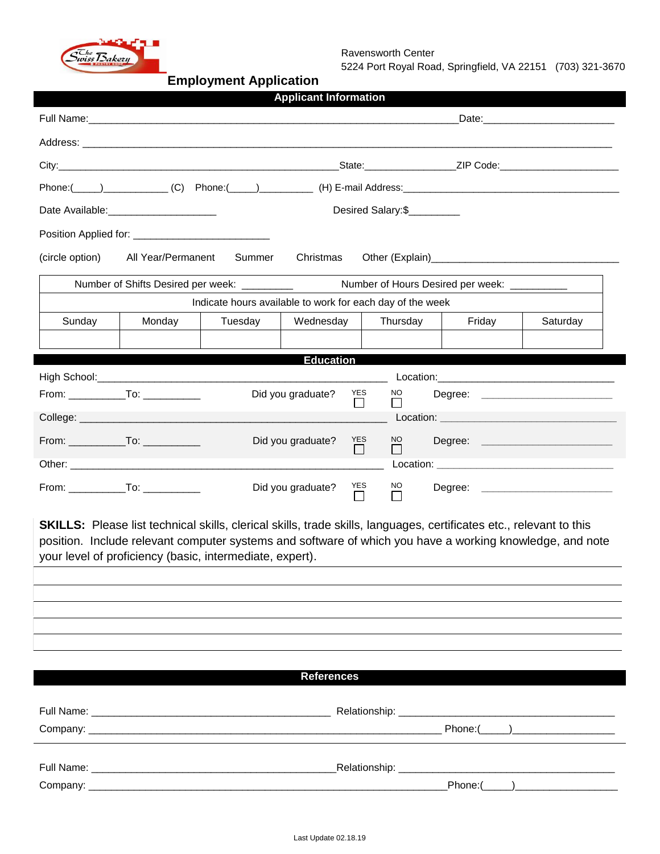

Ravensworth Center

5224 Port Royal Road, Springfield, VA 22151 (703) 321-3670

## **Employment Application**

|                                                                                                                                                                                                                                                                                                    |                                            |         | <b>Applicant Information</b> |               |                                |                                    |                                    |  |  |  |  |
|----------------------------------------------------------------------------------------------------------------------------------------------------------------------------------------------------------------------------------------------------------------------------------------------------|--------------------------------------------|---------|------------------------------|---------------|--------------------------------|------------------------------------|------------------------------------|--|--|--|--|
|                                                                                                                                                                                                                                                                                                    |                                            |         |                              |               |                                |                                    |                                    |  |  |  |  |
|                                                                                                                                                                                                                                                                                                    |                                            |         |                              |               |                                |                                    |                                    |  |  |  |  |
|                                                                                                                                                                                                                                                                                                    |                                            |         |                              |               |                                |                                    |                                    |  |  |  |  |
|                                                                                                                                                                                                                                                                                                    |                                            |         |                              |               |                                |                                    |                                    |  |  |  |  |
|                                                                                                                                                                                                                                                                                                    | Date Available: ________________________   |         |                              |               | Desired Salary:\$              |                                    |                                    |  |  |  |  |
|                                                                                                                                                                                                                                                                                                    |                                            |         |                              |               |                                |                                    |                                    |  |  |  |  |
| (circle option)                                                                                                                                                                                                                                                                                    | All Year/Permanent                         | Summer  | Christmas                    |               |                                |                                    |                                    |  |  |  |  |
| Number of Hours Desired per week: __________<br>Number of Shifts Desired per week: _________                                                                                                                                                                                                       |                                            |         |                              |               |                                |                                    |                                    |  |  |  |  |
| Indicate hours available to work for each day of the week                                                                                                                                                                                                                                          |                                            |         |                              |               |                                |                                    |                                    |  |  |  |  |
| Sunday                                                                                                                                                                                                                                                                                             | Monday                                     | Tuesday | Wednesday                    |               | Thursday                       | Friday                             | Saturday                           |  |  |  |  |
|                                                                                                                                                                                                                                                                                                    |                                            |         |                              |               |                                |                                    |                                    |  |  |  |  |
|                                                                                                                                                                                                                                                                                                    |                                            |         | <b>Education</b>             |               |                                |                                    |                                    |  |  |  |  |
|                                                                                                                                                                                                                                                                                                    |                                            |         | Did you graduate?            | YES           | NO.                            | Degree: __________________________ |                                    |  |  |  |  |
|                                                                                                                                                                                                                                                                                                    |                                            |         |                              |               |                                |                                    |                                    |  |  |  |  |
|                                                                                                                                                                                                                                                                                                    |                                            |         | Did you graduate?            | YES<br>$\Box$ | NO.<br>$\Box$                  |                                    | Degree: ________________________   |  |  |  |  |
|                                                                                                                                                                                                                                                                                                    |                                            |         |                              |               |                                |                                    |                                    |  |  |  |  |
|                                                                                                                                                                                                                                                                                                    | From: _________________To: _______________ |         | Did you graduate?            | YES           | $\underline{\mathsf{NO}}$<br>П |                                    | Degree: __________________________ |  |  |  |  |
| <b>SKILLS:</b> Please list technical skills, clerical skills, trade skills, languages, certificates etc., relevant to this<br>position. Include relevant computer systems and software of which you have a working knowledge, and note<br>your level of proficiency (basic, intermediate, expert). |                                            |         |                              |               |                                |                                    |                                    |  |  |  |  |
|                                                                                                                                                                                                                                                                                                    |                                            |         |                              |               |                                |                                    |                                    |  |  |  |  |
|                                                                                                                                                                                                                                                                                                    |                                            |         | <b>References</b>            |               |                                |                                    |                                    |  |  |  |  |
|                                                                                                                                                                                                                                                                                                    |                                            |         |                              |               |                                |                                    |                                    |  |  |  |  |
|                                                                                                                                                                                                                                                                                                    |                                            |         |                              |               |                                |                                    | $Phone: ($ $)$                     |  |  |  |  |